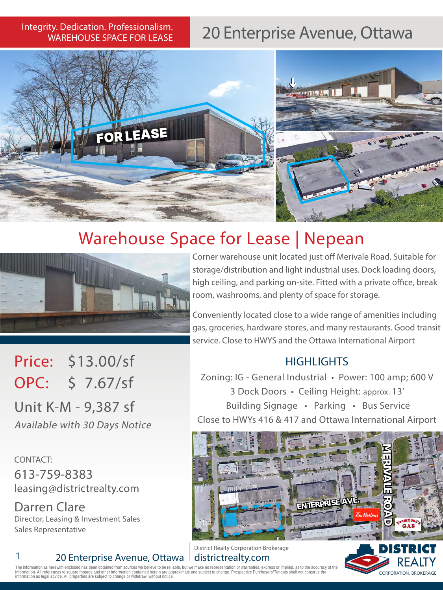# WAREHOUSE SPACE FOR LEASE

# Integrity. Dedication. Professionalism. 20 Enterprise Avenue, Ottawa



## Warehouse Space for Lease | Nepean



Corner warehouse unit located just off Merivale Road. Suitable for storage/distribution and light industrial uses. Dock loading doors, high ceiling, and parking on-site. Fitted with a private office, break room, washrooms, and plenty of space for storage.

Conveniently located close to a wide range of amenities including gas, groceries, hardware stores, and many restaurants. Good transit service. Close to HWYS and the Ottawa International Airport

#### **HIGHLIGHTS**

Zoning: IG - General Industrial • Power: 100 amp; 600 V 3 Dock Doors • Ceiling Height: approx. 13' Building Signage • Parking • Bus Service Close to HWYs 416 & 417 and Ottawa International Airport



District Realty Corporation Brokerage districtrealty.com



Unit K-M - 9,387 sf Available with 30 Days Notice

CONTACT: 613-759-8383 leasing@districtrealty.com

Price: \$13.00/sf

OPC: \$ 7.67/sf

Darren Clare Director, Leasing & Investment Sales Sales Representative

#### 20 Enterprise Avenue, Ottawa |

The information as herewith enclosed has been obtained from sources we believe to be reliable, but we make no representation or warranties, express or implied, as to the accuracy of the<br>information. All references to squar information as legal advice. All properties are subject to change or withdrawl mation as legal advice. All properties are subject to change or withdra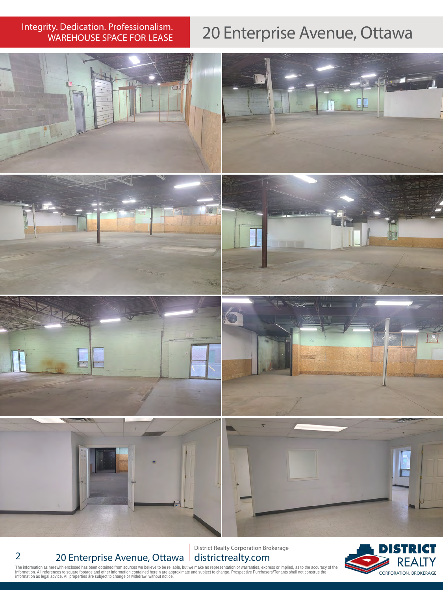# Integrity. Dedication. Professionalism.<br>WAREHOUSE SPACE FOR LEASE

### 20 Enterprise Avenue, Ottawa



#### 2 20 Enterprise Avenue, Ottawa

District Realty Corporation Brokerage districtrealty.com



The information as herewith enclosed has been obtained from sources we believe to be reliable, but we make no representation or warranties, express or implied, as to the accuracy of the<br>information. All references to squa